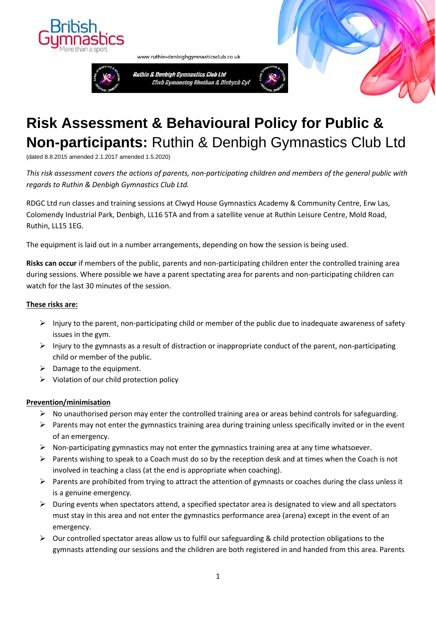



www.ruthin-denbighgymnasticsclub.co.uk



## **Risk Assessment & Behavioural Policy for Public & Non-participants:** Ruthin & Denbigh Gymnastics Club Ltd

(dated 8.8.2015 amended 2.1.2017 amended 1.5.2020)

*This risk assessment covers the actions of parents, non-participating children and members of the general public with regards to Ruthin & Denbigh Gymnastics Club Ltd.*

RDGC Ltd run classes and training sessions at Clwyd House Gymnastics Academy & Community Centre, Erw Las, Colomendy Industrial Park, Denbigh, LL16 5TA and from a satellite venue at Ruthin Leisure Centre, Mold Road, Ruthin, LL15 1EG.

The equipment is laid out in a number arrangements, depending on how the session is being used.

**Risks can occur** if members of the public, parents and non-participating children enter the controlled training area during sessions. Where possible we have a parent spectating area for parents and non-participating children can watch for the last 30 minutes of the session.

## **These risks are:**

- ➢ Injury to the parent, non-participating child or member of the public due to inadequate awareness of safety issues in the gym.
- $\triangleright$  Injury to the gymnasts as a result of distraction or inappropriate conduct of the parent, non-participating child or member of the public.
- $\triangleright$  Damage to the equipment.
- $\triangleright$  Violation of our child protection policy

## **Prevention/minimisation**

- $\triangleright$  No unauthorised person may enter the controlled training area or areas behind controls for safeguarding.
- ➢ Parents may not enter the gymnastics training area during training unless specifically invited or in the event of an emergency.
- ➢ Non-participating gymnastics may not enter the gymnastics training area at any time whatsoever.
- ➢ Parents wishing to speak to a Coach must do so by the reception desk and at times when the Coach is not involved in teaching a class (at the end is appropriate when coaching).
- $\triangleright$  Parents are prohibited from trying to attract the attention of gymnasts or coaches during the class unless it is a genuine emergency.
- ➢ During events when spectators attend, a specified spectator area is designated to view and all spectators must stay in this area and not enter the gymnastics performance area (arena) except in the event of an emergency.
- ➢ Our controlled spectator areas allow us to fulfil our safeguarding & child protection obligations to the gymnasts attending our sessions and the children are both registered in and handed from this area. Parents